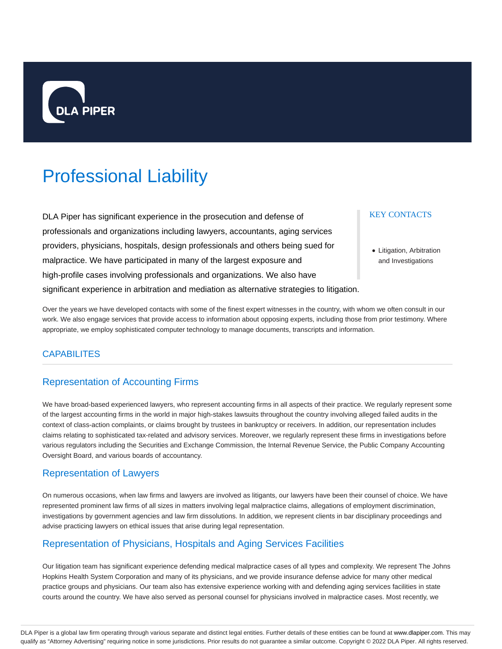

# Professional Liability

DLA Piper has significant experience in the prosecution and defense of professionals and organizations including lawyers, accountants, aging services providers, physicians, hospitals, design professionals and others being sued for malpractice. We have participated in many of the largest exposure and high-profile cases involving professionals and organizations. We also have significant experience in arbitration and mediation as alternative strategies to litigation. KEY CONTACTS

Litigation, Arbitration and Investigations

Over the years we have developed contacts with some of the finest expert witnesses in the country, with whom we often consult in our work. We also engage services that provide access to information about opposing experts, including those from prior testimony. Where appropriate, we employ sophisticated computer technology to manage documents, transcripts and information.

## **CAPABILITES**

# Representation of Accounting Firms

We have broad-based experienced lawyers, who represent accounting firms in all aspects of their practice. We regularly represent some of the largest accounting firms in the world in major high-stakes lawsuits throughout the country involving alleged failed audits in the context of class-action complaints, or claims brought by trustees in bankruptcy or receivers. In addition, our representation includes claims relating to sophisticated tax-related and advisory services. Moreover, we regularly represent these firms in investigations before various regulators including the Securities and Exchange Commission, the Internal Revenue Service, the Public Company Accounting Oversight Board, and various boards of accountancy.

## Representation of Lawyers

On numerous occasions, when law firms and lawyers are involved as litigants, our lawyers have been their counsel of choice. We have represented prominent law firms of all sizes in matters involving legal malpractice claims, allegations of employment discrimination, investigations by government agencies and law firm dissolutions. In addition, we represent clients in bar disciplinary proceedings and advise practicing lawyers on ethical issues that arise during legal representation.

# Representation of Physicians, Hospitals and Aging Services Facilities

Our litigation team has significant experience defending medical malpractice cases of all types and complexity. We represent The Johns Hopkins Health System Corporation and many of its physicians, and we provide insurance defense advice for many other medical practice groups and physicians. Our team also has extensive experience working with and defending aging services facilities in state courts around the country. We have also served as personal counsel for physicians involved in malpractice cases. Most recently, we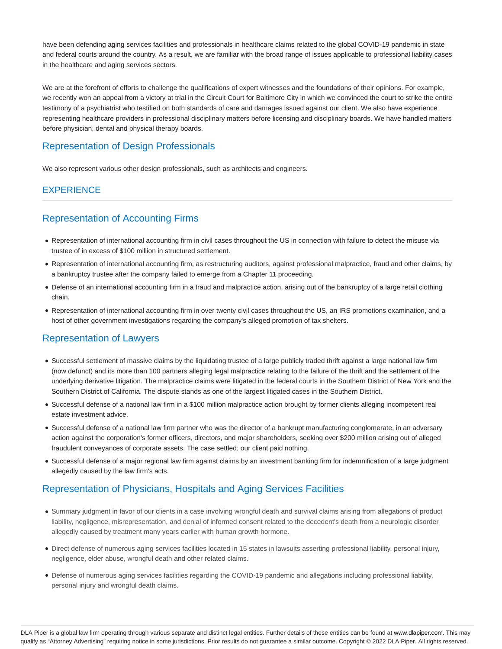have been defending aging services facilities and professionals in healthcare claims related to the global COVID-19 pandemic in state and federal courts around the country. As a result, we are familiar with the broad range of issues applicable to professional liability cases in the healthcare and aging services sectors.

We are at the forefront of efforts to challenge the qualifications of expert witnesses and the foundations of their opinions. For example, we recently won an appeal from a victory at trial in the Circuit Court for Baltimore City in which we convinced the court to strike the entire testimony of a psychiatrist who testified on both standards of care and damages issued against our client. We also have experience representing healthcare providers in professional disciplinary matters before licensing and disciplinary boards. We have handled matters before physician, dental and physical therapy boards.

# Representation of Design Professionals

We also represent various other design professionals, such as architects and engineers.

# **EXPERIENCE**

# Representation of Accounting Firms

- Representation of international accounting firm in civil cases throughout the US in connection with failure to detect the misuse via trustee of in excess of \$100 million in structured settlement.
- Representation of international accounting firm, as restructuring auditors, against professional malpractice, fraud and other claims, by a bankruptcy trustee after the company failed to emerge from a Chapter 11 proceeding.
- Defense of an international accounting firm in a fraud and malpractice action, arising out of the bankruptcy of a large retail clothing chain.
- Representation of international accounting firm in over twenty civil cases throughout the US, an IRS promotions examination, and a host of other government investigations regarding the company's alleged promotion of tax shelters.

## Representation of Lawyers

- Successful settlement of massive claims by the liquidating trustee of a large publicly traded thrift against a large national law firm (now defunct) and its more than 100 partners alleging legal malpractice relating to the failure of the thrift and the settlement of the underlying derivative litigation. The malpractice claims were litigated in the federal courts in the Southern District of New York and the Southern District of California. The dispute stands as one of the largest litigated cases in the Southern District.
- Successful defense of a national law firm in a \$100 million malpractice action brought by former clients alleging incompetent real estate investment advice.
- Successful defense of a national law firm partner who was the director of a bankrupt manufacturing conglomerate, in an adversary action against the corporation's former officers, directors, and major shareholders, seeking over \$200 million arising out of alleged fraudulent conveyances of corporate assets. The case settled; our client paid nothing.
- Successful defense of a major regional law firm against claims by an investment banking firm for indemnification of a large judgment allegedly caused by the law firm's acts.

# Representation of Physicians, Hospitals and Aging Services Facilities

- Summary judgment in favor of our clients in a case involving wrongful death and survival claims arising from allegations of product liability, negligence, misrepresentation, and denial of informed consent related to the decedent's death from a neurologic disorder allegedly caused by treatment many years earlier with human growth hormone.
- Direct defense of numerous aging services facilities located in 15 states in lawsuits asserting professional liability, personal injury, negligence, elder abuse, wrongful death and other related claims.
- Defense of numerous aging services facilities regarding the COVID-19 pandemic and allegations including professional liability, personal injury and wrongful death claims.